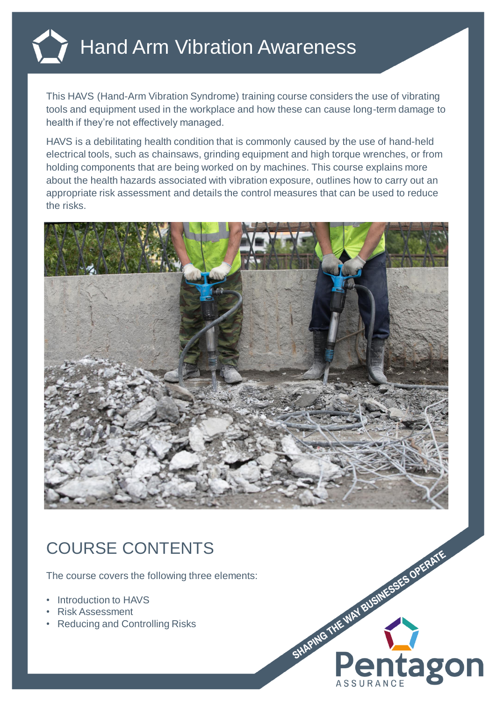

This HAVS (Hand-Arm Vibration Syndrome) training course considers the use of vibrating tools and equipment used in the workplace and how these can cause long-term damage to health if they're not effectively managed.

HAVS is a debilitating health condition that is commonly caused by the use of hand-held electrical tools, such as chainsaws, grinding equipment and high torque wrenches, or from holding components that are being worked on by machines. This course explains more about the health hazards associated with vibration exposure, outlines how to carry out an appropriate risk assessment and details the control measures that can be used to reduce the risks.



## COURSE CONTENTS

The course covers the following three elements:

- **Introduction to HAVS**
- Risk Assessment
- Reducing and Controlling Risks